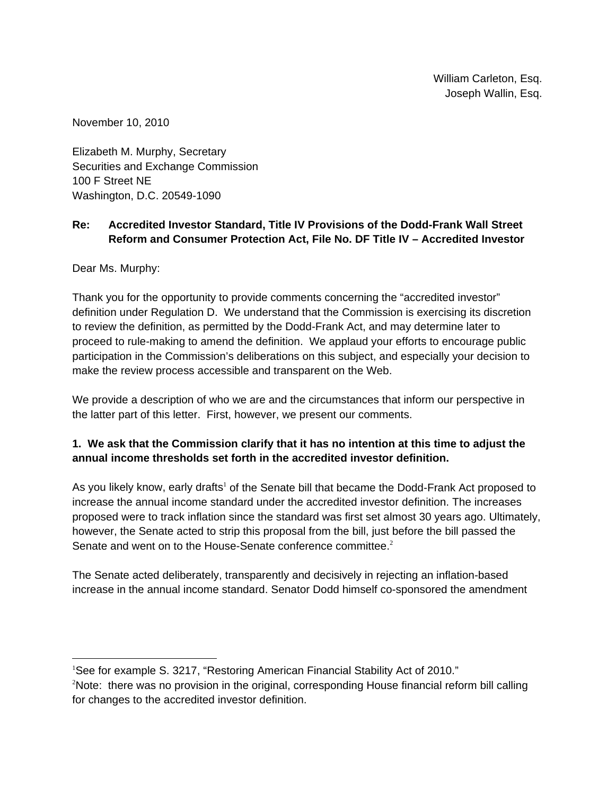November 10, 2010

Elizabeth M. Murphy, Secretary Securities and Exchange Commission 100 F Street NE Washington, D.C. 20549-1090

### **Re: Accredited Investor Standard, Title IV Provisions of the Dodd-Frank Wall Street Reform and Consumer Protection Act, File No. DF Title IV – Accredited Investor**

Dear Ms. Murphy:

 $\overline{a}$ 

Thank you for the opportunity to provide comments concerning the "accredited investor" definition under Regulation D. We understand that the Commission is exercising its discretion to review the definition, as permitted by the Dodd-Frank Act, and may determine later to proceed to rule-making to amend the definition. We applaud your efforts to encourage public participation in the Commission's deliberations on this subject, and especially your decision to make the review process accessible and transparent on the Web.

We provide a description of who we are and the circumstances that inform our perspective in the latter part of this letter. First, however, we present our comments.

## **1. We ask that the Commission clarify that it has no intention at this time to adjust the annual income thresholds set forth in the accredited investor definition.**

As you likely know, early drafts<sup>1</sup> of the Senate bill that became the Dodd-Frank Act proposed to increase the annual income standard under the accredited investor definition. The increases proposed were to track inflation since the standard was first set almost 30 years ago. Ultimately, however, the Senate acted to strip this proposal from the bill, just before the bill passed the Senate and went on to the House-Senate conference committee.<sup>2</sup>

The Senate acted deliberately, transparently and decisively in rejecting an inflation-based increase in the annual income standard. Senator Dodd himself co-sponsored the amendment

<sup>&</sup>lt;sup>1</sup>See for example S. 3217, "Restoring American Financial Stability Act of 2010."  $2$ Note: there was no provision in the original, corresponding House financial reform bill calling for changes to the accredited investor definition.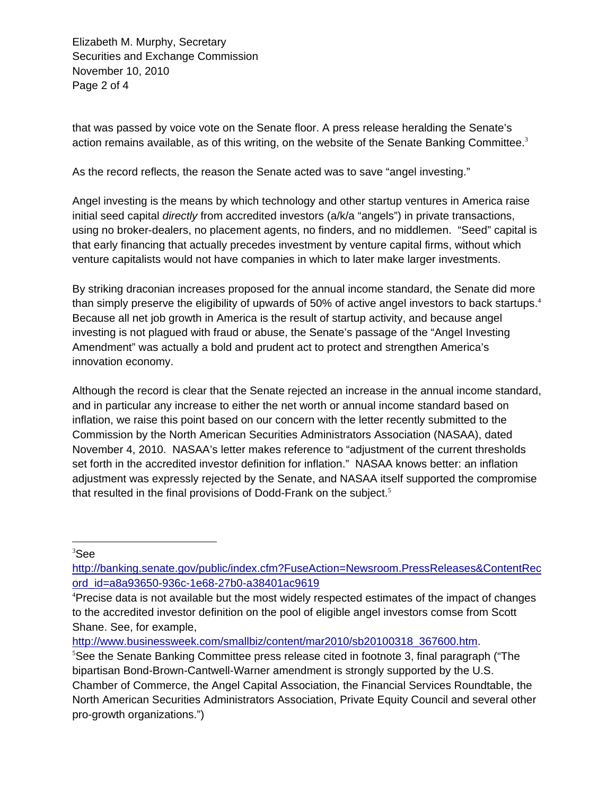Elizabeth M. Murphy, Secretary Securities and Exchange Commission November 10, 2010 Page 2 of 4

that was passed by voice vote on the Senate floor. A press release heralding the Senate's action remains available, as of this writing, on the website of the Senate Banking Committee. $3$ 

As the record reflects, the reason the Senate acted was to save "angel investing."

Angel investing is the means by which technology and other startup ventures in America raise initial seed capital *directly* from accredited investors (a/k/a "angels") in private transactions, using no broker-dealers, no placement agents, no finders, and no middlemen. "Seed" capital is that early financing that actually precedes investment by venture capital firms, without which venture capitalists would not have companies in which to later make larger investments.

than simply preserve the eligibility of upwards of 50% of active angel investors to back startups.<sup>4</sup> By striking draconian increases proposed for the annual income standard, the Senate did more Because all net job growth in America is the result of startup activity, and because angel investing is not plagued with fraud or abuse, the Senate's passage of the "Angel Investing Amendment" was actually a bold and prudent act to protect and strengthen America's innovation economy.

Although the record is clear that the Senate rejected an increase in the annual income standard, and in particular any increase to either the net worth or annual income standard based on inflation, we raise this point based on our concern with the letter recently submitted to the Commission by the North American Securities Administrators Association (NASAA), dated November 4, 2010. NASAA's letter makes reference to "adjustment of the current thresholds set forth in the accredited investor definition for inflation." NASAA knows better: an inflation adjustment was expressly rejected by the Senate, and NASAA itself supported the compromise that resulted in the final provisions of Dodd-Frank on the subject.<sup>5</sup>

 $\overline{a}$ 3 See

http://banking.senate.gov/public/index.cfm?FuseAction=Newsroom.PressReleases&ContentRec ord\_id=a8a93650-936c-1e68-27b0-a38401ac9619

http://www.businessweek.com/smallbiz/content/mar2010/sb20100318\_367600.htm.

<sup>&</sup>lt;sup>4</sup>Precise data is not available but the most widely respected estimates of the impact of changes to the accredited investor definition on the pool of eligible angel investors comse from Scott Shane. See, for example,

<sup>&</sup>lt;sup>5</sup>See the Senate Banking Committee press release cited in footnote 3, final paragraph ("The bipartisan Bond-Brown-Cantwell-Warner amendment is strongly supported by the U.S. Chamber of Commerce, the Angel Capital Association, the Financial Services Roundtable, the North American Securities Administrators Association, Private Equity Council and several other pro-growth organizations.")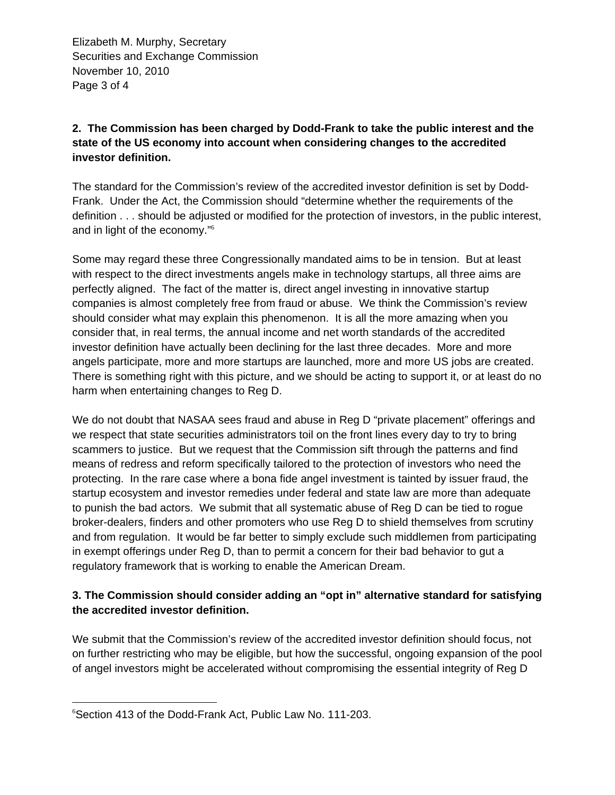Elizabeth M. Murphy, Secretary Securities and Exchange Commission November 10, 2010 Page 3 of 4

# **2. The Commission has been charged by Dodd-Frank to take the public interest and the state of the US economy into account when considering changes to the accredited investor definition.**

The standard for the Commission's review of the accredited investor definition is set by Dodd-Frank. Under the Act, the Commission should "determine whether the requirements of the definition . . . should be adjusted or modified for the protection of investors, in the public interest, and in light of the economy."<sup>6</sup>

Some may regard these three Congressionally mandated aims to be in tension. But at least with respect to the direct investments angels make in technology startups, all three aims are perfectly aligned. The fact of the matter is, direct angel investing in innovative startup companies is almost completely free from fraud or abuse. We think the Commission's review should consider what may explain this phenomenon. It is all the more amazing when you consider that, in real terms, the annual income and net worth standards of the accredited investor definition have actually been declining for the last three decades. More and more angels participate, more and more startups are launched, more and more US jobs are created. There is something right with this picture, and we should be acting to support it, or at least do no harm when entertaining changes to Reg D.

We do not doubt that NASAA sees fraud and abuse in Reg D "private placement" offerings and we respect that state securities administrators toil on the front lines every day to try to bring scammers to justice. But we request that the Commission sift through the patterns and find means of redress and reform specifically tailored to the protection of investors who need the protecting. In the rare case where a bona fide angel investment is tainted by issuer fraud, the startup ecosystem and investor remedies under federal and state law are more than adequate to punish the bad actors. We submit that all systematic abuse of Reg D can be tied to rogue broker-dealers, finders and other promoters who use Reg D to shield themselves from scrutiny and from regulation. It would be far better to simply exclude such middlemen from participating in exempt offerings under Reg D, than to permit a concern for their bad behavior to gut a regulatory framework that is working to enable the American Dream.

## **3. The Commission should consider adding an "opt in" alternative standard for satisfying the accredited investor definition.**

We submit that the Commission's review of the accredited investor definition should focus, not on further restricting who may be eligible, but how the successful, ongoing expansion of the pool of angel investors might be accelerated without compromising the essential integrity of Reg D

 $\overline{a}$ 6 Section 413 of the Dodd-Frank Act, Public Law No. 111-203.